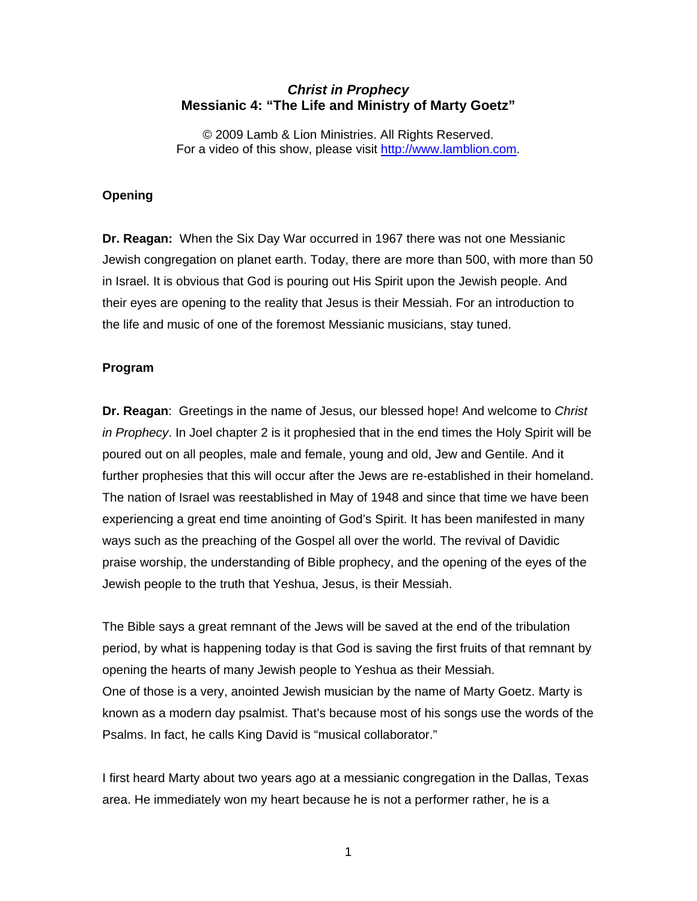# *Christ in Prophecy*  **Messianic 4: "The Life and Ministry of Marty Goetz"**

© 2009 Lamb & Lion Ministries. All Rights Reserved. For a video of this show, please visit [http://www.lamblion.com.](http://www.lamblion.com/)

## **Opening**

**Dr. Reagan:** When the Six Day War occurred in 1967 there was not one Messianic Jewish congregation on planet earth. Today, there are more than 500, with more than 50 in Israel. It is obvious that God is pouring out His Spirit upon the Jewish people. And their eyes are opening to the reality that Jesus is their Messiah. For an introduction to the life and music of one of the foremost Messianic musicians, stay tuned.

## **Program**

**Dr. Reagan**: Greetings in the name of Jesus, our blessed hope! And welcome to *Christ in Prophecy*. In Joel chapter 2 is it prophesied that in the end times the Holy Spirit will be poured out on all peoples, male and female, young and old, Jew and Gentile. And it further prophesies that this will occur after the Jews are re-established in their homeland. The nation of Israel was reestablished in May of 1948 and since that time we have been experiencing a great end time anointing of God's Spirit. It has been manifested in many ways such as the preaching of the Gospel all over the world. The revival of Davidic praise worship, the understanding of Bible prophecy, and the opening of the eyes of the Jewish people to the truth that Yeshua, Jesus, is their Messiah.

The Bible says a great remnant of the Jews will be saved at the end of the tribulation period, by what is happening today is that God is saving the first fruits of that remnant by opening the hearts of many Jewish people to Yeshua as their Messiah. One of those is a very, anointed Jewish musician by the name of Marty Goetz. Marty is known as a modern day psalmist. That's because most of his songs use the words of the Psalms. In fact, he calls King David is "musical collaborator."

I first heard Marty about two years ago at a messianic congregation in the Dallas, Texas area. He immediately won my heart because he is not a performer rather, he is a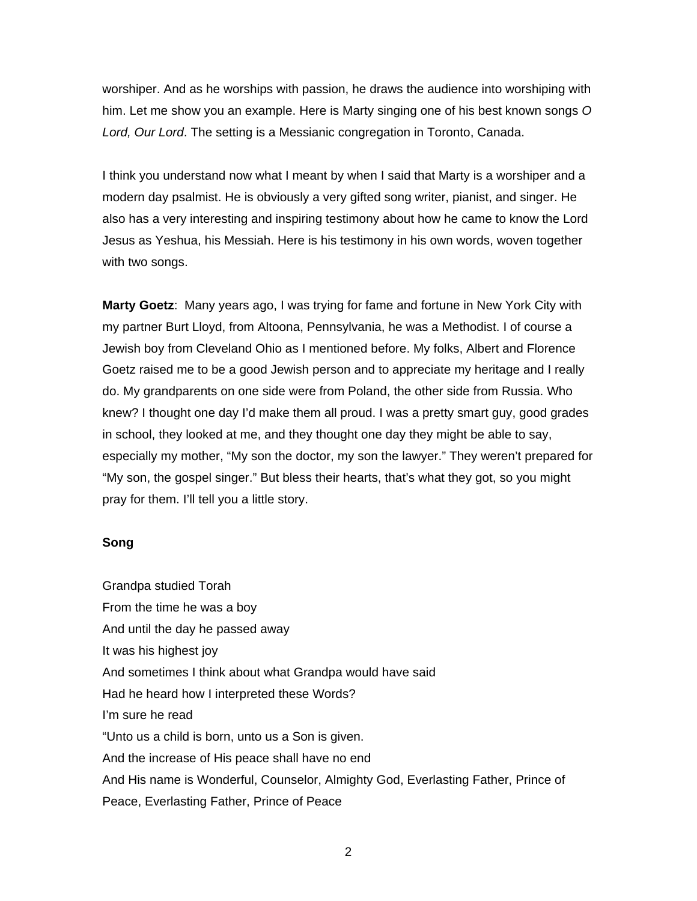worshiper. And as he worships with passion, he draws the audience into worshiping with him. Let me show you an example. Here is Marty singing one of his best known songs *O Lord, Our Lord*. The setting is a Messianic congregation in Toronto, Canada.

I think you understand now what I meant by when I said that Marty is a worshiper and a modern day psalmist. He is obviously a very gifted song writer, pianist, and singer. He also has a very interesting and inspiring testimony about how he came to know the Lord Jesus as Yeshua, his Messiah. Here is his testimony in his own words, woven together with two songs.

**Marty Goetz**: Many years ago, I was trying for fame and fortune in New York City with my partner Burt Lloyd, from Altoona, Pennsylvania, he was a Methodist. I of course a Jewish boy from Cleveland Ohio as I mentioned before. My folks, Albert and Florence Goetz raised me to be a good Jewish person and to appreciate my heritage and I really do. My grandparents on one side were from Poland, the other side from Russia. Who knew? I thought one day I'd make them all proud. I was a pretty smart guy, good grades in school, they looked at me, and they thought one day they might be able to say, especially my mother, "My son the doctor, my son the lawyer." They weren't prepared for "My son, the gospel singer." But bless their hearts, that's what they got, so you might pray for them. I'll tell you a little story.

#### **Song**

Grandpa studied Torah From the time he was a boy And until the day he passed away It was his highest joy And sometimes I think about what Grandpa would have said Had he heard how I interpreted these Words? I'm sure he read "Unto us a child is born, unto us a Son is given. And the increase of His peace shall have no end And His name is Wonderful, Counselor, Almighty God, Everlasting Father, Prince of Peace, Everlasting Father, Prince of Peace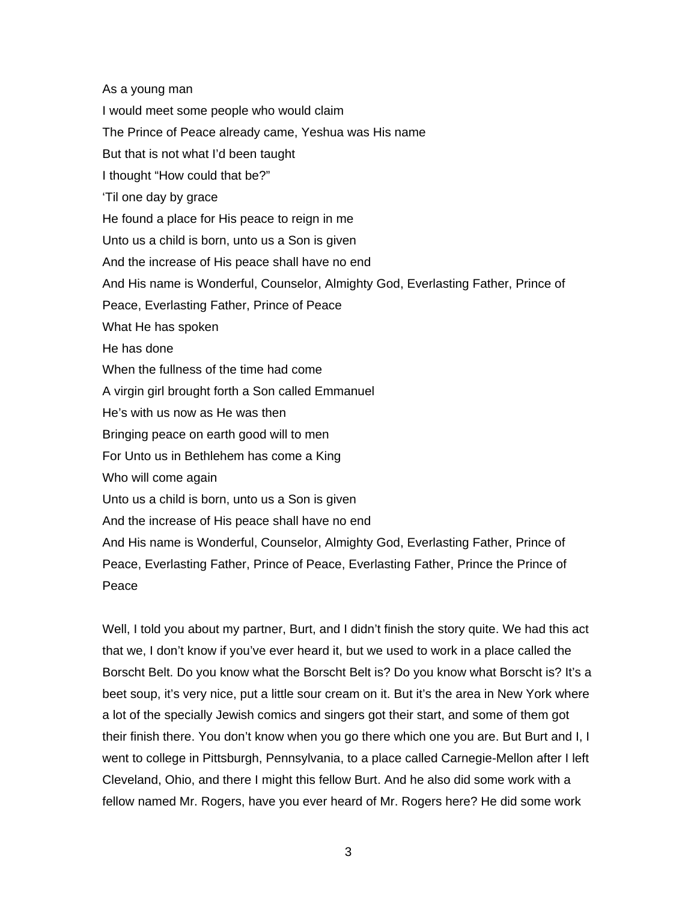As a young man I would meet some people who would claim The Prince of Peace already came, Yeshua was His name But that is not what I'd been taught I thought "How could that be?" 'Til one day by grace He found a place for His peace to reign in me Unto us a child is born, unto us a Son is given And the increase of His peace shall have no end And His name is Wonderful, Counselor, Almighty God, Everlasting Father, Prince of Peace, Everlasting Father, Prince of Peace What He has spoken He has done When the fullness of the time had come A virgin girl brought forth a Son called Emmanuel He's with us now as He was then Bringing peace on earth good will to men For Unto us in Bethlehem has come a King Who will come again Unto us a child is born, unto us a Son is given And the increase of His peace shall have no end And His name is Wonderful, Counselor, Almighty God, Everlasting Father, Prince of Peace, Everlasting Father, Prince of Peace, Everlasting Father, Prince the Prince of Peace

Well, I told you about my partner, Burt, and I didn't finish the story quite. We had this act that we, I don't know if you've ever heard it, but we used to work in a place called the Borscht Belt. Do you know what the Borscht Belt is? Do you know what Borscht is? It's a beet soup, it's very nice, put a little sour cream on it. But it's the area in New York where a lot of the specially Jewish comics and singers got their start, and some of them got their finish there. You don't know when you go there which one you are. But Burt and I, I went to college in Pittsburgh, Pennsylvania, to a place called Carnegie-Mellon after I left Cleveland, Ohio, and there I might this fellow Burt. And he also did some work with a fellow named Mr. Rogers, have you ever heard of Mr. Rogers here? He did some work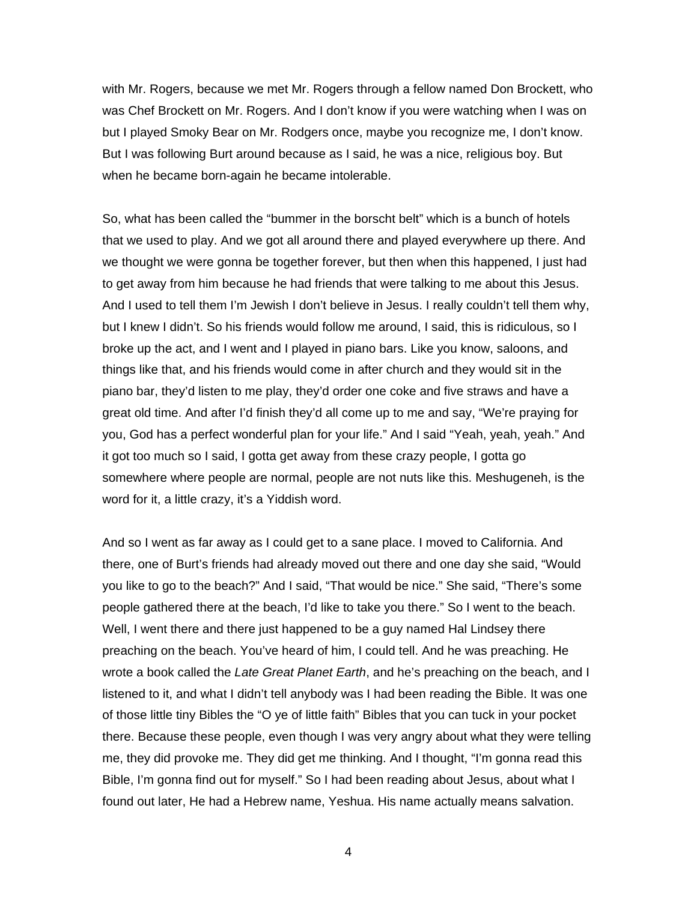with Mr. Rogers, because we met Mr. Rogers through a fellow named Don Brockett, who was Chef Brockett on Mr. Rogers. And I don't know if you were watching when I was on but I played Smoky Bear on Mr. Rodgers once, maybe you recognize me, I don't know. But I was following Burt around because as I said, he was a nice, religious boy. But when he became born-again he became intolerable.

So, what has been called the "bummer in the borscht belt" which is a bunch of hotels that we used to play. And we got all around there and played everywhere up there. And we thought we were gonna be together forever, but then when this happened, I just had to get away from him because he had friends that were talking to me about this Jesus. And I used to tell them I'm Jewish I don't believe in Jesus. I really couldn't tell them why, but I knew I didn't. So his friends would follow me around, I said, this is ridiculous, so I broke up the act, and I went and I played in piano bars. Like you know, saloons, and things like that, and his friends would come in after church and they would sit in the piano bar, they'd listen to me play, they'd order one coke and five straws and have a great old time. And after I'd finish they'd all come up to me and say, "We're praying for you, God has a perfect wonderful plan for your life." And I said "Yeah, yeah, yeah." And it got too much so I said, I gotta get away from these crazy people, I gotta go somewhere where people are normal, people are not nuts like this. Meshugeneh, is the word for it, a little crazy, it's a Yiddish word.

And so I went as far away as I could get to a sane place. I moved to California. And there, one of Burt's friends had already moved out there and one day she said, "Would you like to go to the beach?" And I said, "That would be nice." She said, "There's some people gathered there at the beach, I'd like to take you there." So I went to the beach. Well, I went there and there just happened to be a guy named Hal Lindsey there preaching on the beach. You've heard of him, I could tell. And he was preaching. He wrote a book called the *Late Great Planet Earth*, and he's preaching on the beach, and I listened to it, and what I didn't tell anybody was I had been reading the Bible. It was one of those little tiny Bibles the "O ye of little faith" Bibles that you can tuck in your pocket there. Because these people, even though I was very angry about what they were telling me, they did provoke me. They did get me thinking. And I thought, "I'm gonna read this Bible, I'm gonna find out for myself." So I had been reading about Jesus, about what I found out later, He had a Hebrew name, Yeshua. His name actually means salvation.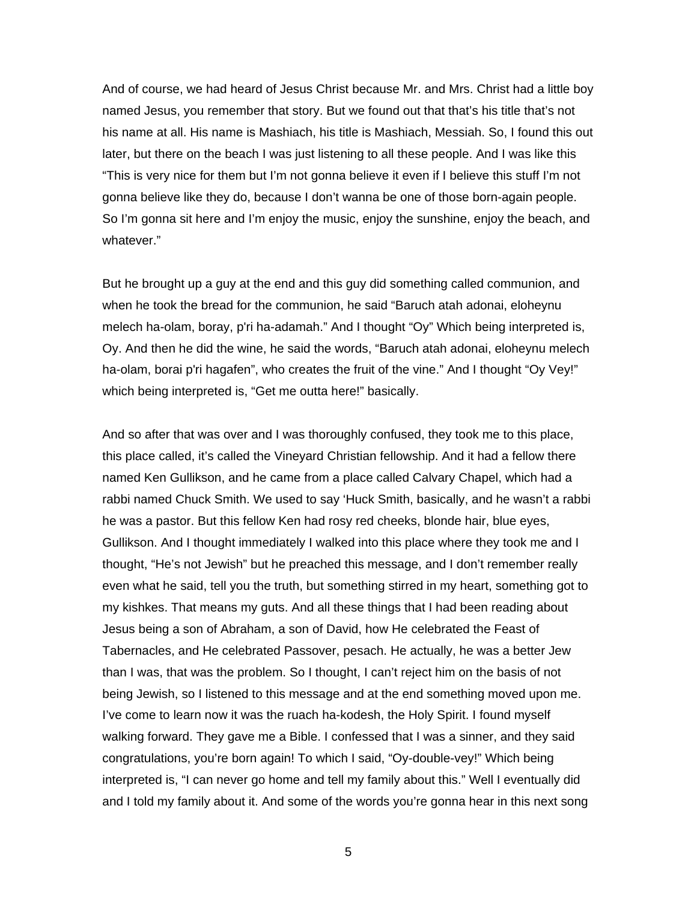And of course, we had heard of Jesus Christ because Mr. and Mrs. Christ had a little boy named Jesus, you remember that story. But we found out that that's his title that's not his name at all. His name is Mashiach, his title is Mashiach, Messiah. So, I found this out later, but there on the beach I was just listening to all these people. And I was like this "This is very nice for them but I'm not gonna believe it even if I believe this stuff I'm not gonna believe like they do, because I don't wanna be one of those born-again people. So I'm gonna sit here and I'm enjoy the music, enjoy the sunshine, enjoy the beach, and whatever."

But he brought up a guy at the end and this guy did something called communion, and when he took the bread for the communion, he said "Baruch atah adonai, eloheynu melech ha-olam, boray, p'ri ha-adamah." And I thought "Oy" Which being interpreted is, Oy. And then he did the wine, he said the words, "Baruch atah adonai, eloheynu melech ha-olam, borai p'ri hagafen", who creates the fruit of the vine." And I thought "Oy Vey!" which being interpreted is, "Get me outta here!" basically.

And so after that was over and I was thoroughly confused, they took me to this place, this place called, it's called the Vineyard Christian fellowship. And it had a fellow there named Ken Gullikson, and he came from a place called Calvary Chapel, which had a rabbi named Chuck Smith. We used to say 'Huck Smith, basically, and he wasn't a rabbi he was a pastor. But this fellow Ken had rosy red cheeks, blonde hair, blue eyes, Gullikson. And I thought immediately I walked into this place where they took me and I thought, "He's not Jewish" but he preached this message, and I don't remember really even what he said, tell you the truth, but something stirred in my heart, something got to my kishkes. That means my guts. And all these things that I had been reading about Jesus being a son of Abraham, a son of David, how He celebrated the Feast of Tabernacles, and He celebrated Passover, pesach. He actually, he was a better Jew than I was, that was the problem. So I thought, I can't reject him on the basis of not being Jewish, so I listened to this message and at the end something moved upon me. I've come to learn now it was the ruach ha-kodesh, the Holy Spirit. I found myself walking forward. They gave me a Bible. I confessed that I was a sinner, and they said congratulations, you're born again! To which I said, "Oy-double-vey!" Which being interpreted is, "I can never go home and tell my family about this." Well I eventually did and I told my family about it. And some of the words you're gonna hear in this next song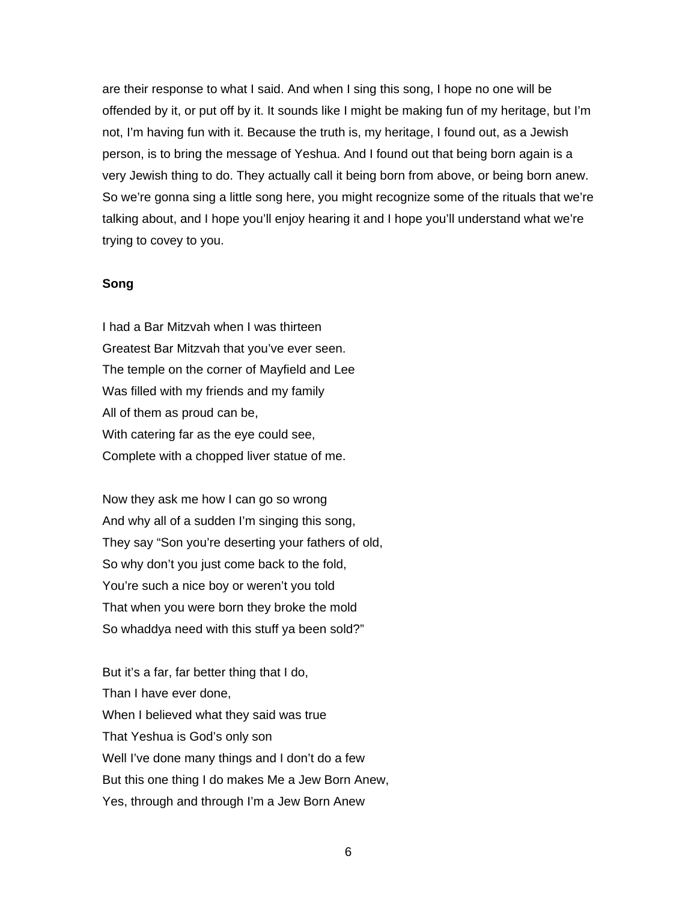are their response to what I said. And when I sing this song, I hope no one will be offended by it, or put off by it. It sounds like I might be making fun of my heritage, but I'm not, I'm having fun with it. Because the truth is, my heritage, I found out, as a Jewish person, is to bring the message of Yeshua. And I found out that being born again is a very Jewish thing to do. They actually call it being born from above, or being born anew. So we're gonna sing a little song here, you might recognize some of the rituals that we're talking about, and I hope you'll enjoy hearing it and I hope you'll understand what we're trying to covey to you.

## **Song**

I had a Bar Mitzvah when I was thirteen Greatest Bar Mitzvah that you've ever seen. The temple on the corner of Mayfield and Lee Was filled with my friends and my family All of them as proud can be, With catering far as the eye could see, Complete with a chopped liver statue of me.

Now they ask me how I can go so wrong And why all of a sudden I'm singing this song, They say "Son you're deserting your fathers of old, So why don't you just come back to the fold, You're such a nice boy or weren't you told That when you were born they broke the mold So whaddya need with this stuff ya been sold?"

But it's a far, far better thing that I do, Than I have ever done, When I believed what they said was true That Yeshua is God's only son Well I've done many things and I don't do a few But this one thing I do makes Me a Jew Born Anew, Yes, through and through I'm a Jew Born Anew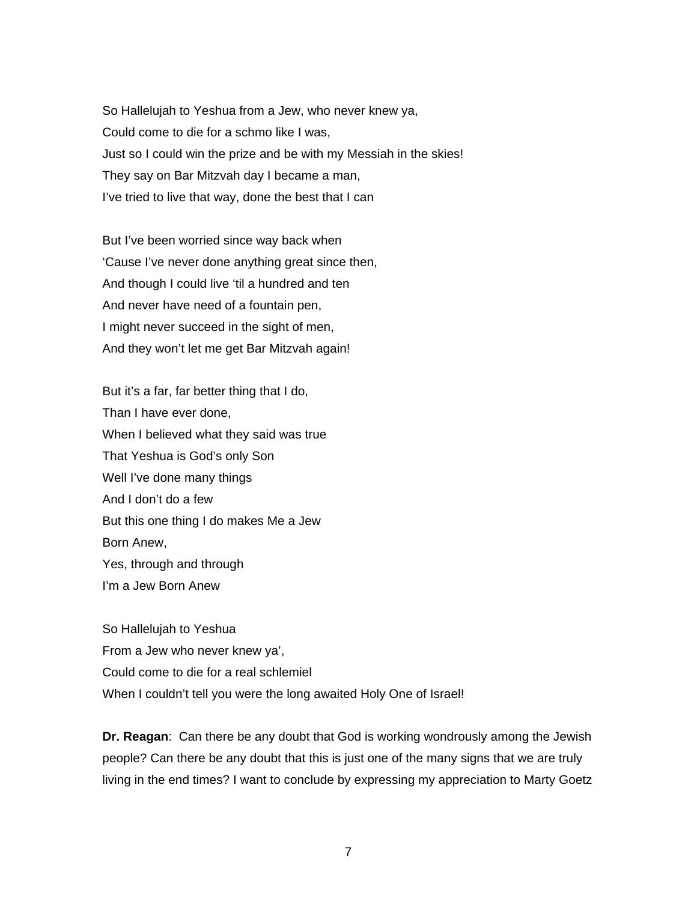So Hallelujah to Yeshua from a Jew, who never knew ya, Could come to die for a schmo like I was, Just so I could win the prize and be with my Messiah in the skies! They say on Bar Mitzvah day I became a man, I've tried to live that way, done the best that I can

But I've been worried since way back when 'Cause I've never done anything great since then, And though I could live 'til a hundred and ten And never have need of a fountain pen, I might never succeed in the sight of men, And they won't let me get Bar Mitzvah again!

But it's a far, far better thing that I do, Than I have ever done, When I believed what they said was true That Yeshua is God's only Son Well I've done many things And I don't do a few But this one thing I do makes Me a Jew Born Anew, Yes, through and through I'm a Jew Born Anew

So Hallelujah to Yeshua From a Jew who never knew ya', Could come to die for a real schlemiel When I couldn't tell you were the long awaited Holy One of Israel!

**Dr. Reagan**: Can there be any doubt that God is working wondrously among the Jewish people? Can there be any doubt that this is just one of the many signs that we are truly living in the end times? I want to conclude by expressing my appreciation to Marty Goetz